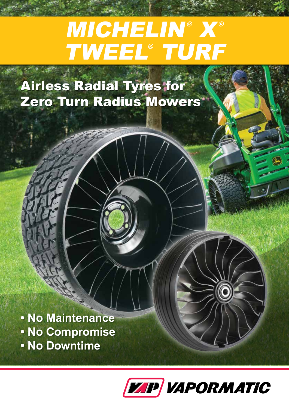## MICHELIN® X® TWEEL® TURF

Airless Radial Tyres for Zero Turn Radius Mowers

**• No Maintenance • No Compromise • No Downtime**

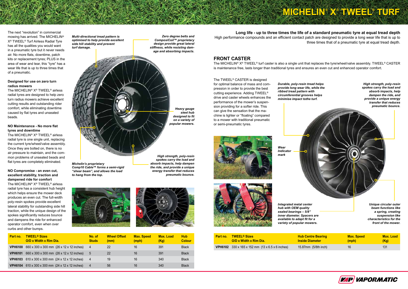# **MICHELIN® X® TWEEL® TURF**



The next "revolution" in commercial mowing has arrived. The MICHELIN® X® TWEEL® Turf Airless Radial Tyre has all the qualities you would want in a pneumatic tyre but it never needs air. No more flats, downtime, patch kits or replacement tyres; PLUS in the area of wear and tear, this "tyre" has a wear life that is up to three times that of a pneumatic.

The MICHELIN<sup>®</sup> X<sup>®</sup> TWEEL<sup>®</sup> airless radial tyres are designed to help zero turn radius mowers achieve excellent cutting results and outstanding rider comfort, while eliminating downtime caused by flat tyres and unseated beads.

#### **Designed for use on zero turn radius mowers**

### **NO Maintenance - No more flat tyres and downtime**

The MICHELIN® X® TWEEL® airless radial tyre is one single unit, replacing the current tyre/wheel/valve assembly. Once they are bolted on, there is no air pressure to maintain, and the common problems of unseated beads and flat tyres are completely eliminated.

The MICHELIN<sup>®</sup> X<sup>®</sup> TWEEL<sup>®</sup> turf caster is also a single unit that replaces the tyre/wheel/valve assembly. TWEEL<sup>®</sup> CASTER is maintenance free, lasts longer than traditional tyres and ensures an even cut and enhanced operator comfort.

### **NO Compromise - an even cut, excellent stability, traction and dampened ride for comfort**

The MICHELIN® X® TWEEL® airless radial tyre has a consistent hub height which helps ensure the mower deck produces an even cut. The full-width poly-resin spokes provide excellent lateral stability for outstanding side hill traction, while the unique design of the spokes significantly reduces bounce and dampens the ride for enhanced operator comfort, even when over curbs and other bumps.

### **FRONT CASTER**

**Long life - up to three times the life of a standard pneumatic tyre at equal tread depth** three times that of a pneumatic tyre at equal tread depth.

High performance compounds and an efficient contact patch are designed to provide a long wear life that is up to

*Zero degree belts and ComposiCoil™ proprietary design provide great lateral stiffness, while resisting damage and absorbing impacts.*

*Multi-directional tread pattern is optimised to help provide excellent side hill stability and prevent turf damage.*

| Part no. | <b>TWEEL<sup>®</sup> Sizes</b>                                              | <b>Hub Centre Bearing</b> | <b>Max. Speed</b> | Max. Load |
|----------|-----------------------------------------------------------------------------|---------------------------|-------------------|-----------|
|          | O/D x Width x Rim Dia.                                                      | <b>Inside Diameter</b>    | (mph)             | (Kq)      |
|          | <b>VPH6102</b> 330 x 165 x 152 mm $(13 \times 6.5 \times 6 \text{ inches})$ | 15.87mm (5/8th inch)      | 16                | 131       |

| Part no.       | <b>TWEEL<sup>®</sup> Sizes</b><br>O/D x Width x Rim Dia. | No. of<br><b>Studs</b> | <b>Wheel Offset</b><br>(mm) | <b>Max. Speed</b><br>(mph) | <b>Max. Load</b><br>(Kg) | <b>Hub</b><br><b>Colour</b> |
|----------------|----------------------------------------------------------|------------------------|-----------------------------|----------------------------|--------------------------|-----------------------------|
| <b>VPH6100</b> | 660 x 300 x 300 mm (26 x 12 x 12 inches)                 | $\overline{4}$         | <sup>22</sup>               | 16                         | 391                      | <b>Black</b>                |
| <b>VPH6101</b> | 660 x 300 x 300 mm (26 x 12 x 12 inches)                 | $-5$                   | 22                          | 16                         | 391                      | <b>Black</b>                |
| <b>VPH6103</b> | 610 x 300 x 300 mm (24 x 12 x 12 inches)                 | -4                     | 19                          | 16                         | 340                      | <b>Black</b>                |
|                | <b>VPH6104</b> 610 x 300 x 300 mm (24 x 12 x 12 inches)  |                        | 56                          | 16                         | 340                      | <b>Black</b>                |

*Heavy gauge steel hub designed to fit on a variety of popular mowers.*

*High strength, poly-resin spokes carry the load and absorb impacts, help dampen the ride, and provide a unique energy transfer that reduces pneumatic bounce.*





*Michelin's proprietary Comp10 Cable™ forms a semi-rigid "shear beam", and allows the load to hang from the top.*





*Durable, poly-resin tread helps provide long wear life, while the ribbed tread pattern with circumferential grooves helps minimise impact tothe turf.*



*Wear Indicator mark*





*front of the mower.*

*Integrated metal center hub with OEM quality sealed bearings – 5/8" inner diameter. Spacers are available to adapt fit for a variety of popular mowers.*

The TWEEL® CASTER is designed for optimal balance of mass and compression in order to provide the best cutting experience. Adding TWEEL® drive and caster wheels enhances the performance of the mower's suspension providing for a softer ride. This can give the sensation that the machine is lighter or "floating" compared to a mower with traditional pneumatic or semi-pneumatic tyres.